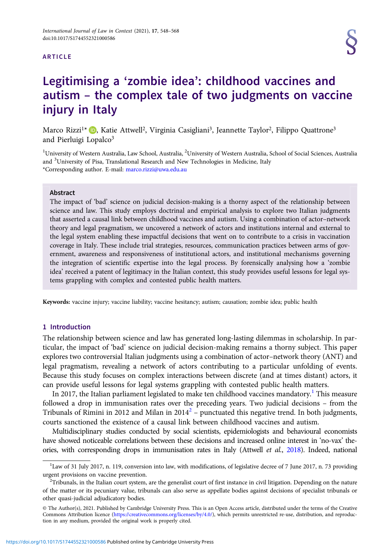#### ARTICLE

# Legitimising a 'zombie idea': childhood vaccines and autism – the complex tale of two judgments on vaccine injury in Italy

Marco Rizzi<sup>1\*</sup> **D**[,](https://orcid.org/0000-0003-0445-9655) Katie Attwell<sup>2</sup>, Virginia Casigliani<sup>3</sup>, Jeannette Taylor<sup>2</sup>, Filippo Quattrone<sup>3</sup> and Pierluigi Lopalco<sup>3</sup>

<sup>1</sup>University of Western Australia, Law School, Australia, <sup>2</sup>University of Western Australia, School of Social Sciences, Australia and <sup>3</sup>University of Pisa, Translational Research and New Technologies in Medicine, Italy \*Corresponding author. E-mail: [marco.rizzi@uwa.edu.au](mailto:marco.rizzi@uwa.edu.au)

## Abstract

The impact of 'bad' science on judicial decision-making is a thorny aspect of the relationship between science and law. This study employs doctrinal and empirical analysis to explore two Italian judgments that asserted a causal link between childhood vaccines and autism. Using a combination of actor–network theory and legal pragmatism, we uncovered a network of actors and institutions internal and external to the legal system enabling these impactful decisions that went on to contribute to a crisis in vaccination coverage in Italy. These include trial strategies, resources, communication practices between arms of government, awareness and responsiveness of institutional actors, and institutional mechanisms governing the integration of scientific expertise into the legal process. By forensically analysing how a 'zombie idea' received a patent of legitimacy in the Italian context, this study provides useful lessons for legal systems grappling with complex and contested public health matters.

Keywords: vaccine injury; vaccine liability; vaccine hesitancy; autism; causation; zombie idea; public health

## 1 Introduction

The relationship between science and law has generated long-lasting dilemmas in scholarship. In particular, the impact of 'bad' science on judicial decision-making remains a thorny subject. This paper explores two controversial Italian judgments using a combination of actor–network theory (ANT) and legal pragmatism, revealing a network of actors contributing to a particular unfolding of events. Because this study focuses on complex interactions between discrete (and at times distant) actors, it can provide useful lessons for legal systems grappling with contested public health matters.

In 2017, the Italian parliament legislated to make ten childhood vaccines mandatory.<sup>1</sup> This measure followed a drop in immunisation rates over the preceding years. Two judicial decisions – from the Tribunals of Rimini in 2012 and Milan in 2014<sup>2</sup> – punctuated this negative trend. In both judgments, courts sanctioned the existence of a causal link between childhood vaccines and autism.

Multidisciplinary studies conducted by social scientists, epidemiologists and behavioural economists have showed noticeable correlations between these decisions and increased online interest in 'no-vax' the-ories, with corresponding drops in immunisation rates in Italy (Attwell et al., [2018](#page-17-0)). Indeed, national

<sup>&</sup>lt;sup>1</sup>Law of 31 July 2017, n. 119, conversion into law, with modifications, of legislative decree of 7 June 2017, n. 73 providing urgent provisions on vaccine prevention.

 $T$ Tribunals, in the Italian court system, are the generalist court of first instance in civil litigation. Depending on the nature of the matter or its pecuniary value, tribunals can also serve as appellate bodies against decisions of specialist tribunals or other quasi-judicial adjudicatory bodies.

<sup>©</sup> The Author(s), 2021. Published by Cambridge University Press. This is an Open Access article, distributed under the terms of the Creative Commons Attribution licence [\(https://creativecommons.org/licenses/by/4.0/\)](https://creativecommons.org/licenses/by/4.0/), which permits unrestricted re-use, distribution, and reproduction in any medium, provided the original work is properly cited.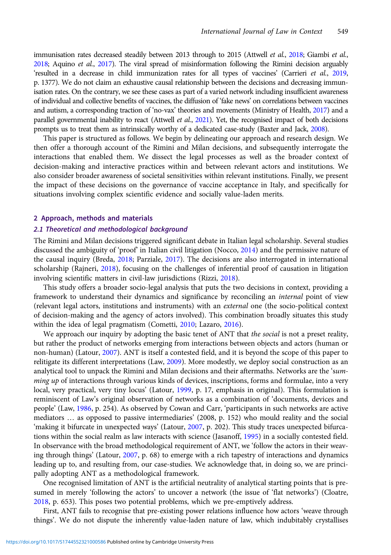immunisation rates decreased steadily between 2013 through to 2015 (Attwell et al., [2018](#page-17-0); Giambi et al., [2018](#page-18-0); Aquino et al., [2017](#page-17-0)). The viral spread of misinformation following the Rimini decision arguably 'resulted in a decrease in child immunization rates for all types of vaccines' (Carrieri et al., [2019](#page-17-0), p. 1377). We do not claim an exhaustive causal relationship between the decisions and decreasing immunisation rates. On the contrary, we see these cases as part of a varied network including insufficient awareness of individual and collective benefits of vaccines, the diffusion of 'fake news' on correlations between vaccines and autism, a corresponding traction of 'no-vax' theories and movements (Ministry of Health, [2017\)](#page-20-0) and a parallel governmental inability to react (Attwell et al., [2021](#page-17-0)). Yet, the recognised impact of both decisions prompts us to treat them as intrinsically worthy of a dedicated case-study (Baxter and Jack, [2008\)](#page-17-0).

This paper is structured as follows. We begin by delineating our approach and research design. We then offer a thorough account of the Rimini and Milan decisions, and subsequently interrogate the interactions that enabled them. We dissect the legal processes as well as the broader context of decision-making and interactive practices within and between relevant actors and institutions. We also consider broader awareness of societal sensitivities within relevant institutions. Finally, we present the impact of these decisions on the governance of vaccine acceptance in Italy, and specifically for situations involving complex scientific evidence and socially value-laden merits.

## 2 Approach, methods and materials

## 2.1 Theoretical and methodological background

The Rimini and Milan decisions triggered significant debate in Italian legal scholarship. Several studies discussed the ambiguity of 'proof' in Italian civil litigation (Nocco, [2014](#page-20-0)) and the permissive nature of the causal inquiry (Breda, [2018](#page-17-0); Parziale, [2017](#page-20-0)). The decisions are also interrogated in international scholarship (Rajneri, [2018](#page-20-0)), focusing on the challenges of inferential proof of causation in litigation involving scientific matters in civil-law jurisdictions (Rizzi, [2018](#page-20-0)).

This study offers a broader socio-legal analysis that puts the two decisions in context, providing a framework to understand their dynamics and significance by reconciling an *internal* point of view (relevant legal actors, institutions and instruments) with an external one (the socio-political context of decision-making and the agency of actors involved). This combination broadly situates this study within the idea of legal pragmatism (Cometti, [2010;](#page-18-0) Lazaro, [2016](#page-20-0)).

We approach our inquiry by adopting the basic tenet of ANT that the social is not a preset reality, but rather the product of networks emerging from interactions between objects and actors (human or non-human) (Latour, [2007\)](#page-20-0). ANT is itself a contested field, and it is beyond the scope of this paper to relitigate its different interpretations (Law, [2009](#page-20-0)). More modestly, we deploy social construction as an analytical tool to unpack the Rimini and Milan decisions and their aftermaths. Networks are the 'summing up of interactions through various kinds of devices, inscriptions, forms and formulae, into a very local, very practical, very tiny locus' (Latour, [1999,](#page-20-0) p. 17, emphasis in original). This formulation is reminiscent of Law's original observation of networks as a combination of 'documents, devices and people' (Law, [1986](#page-20-0), p. 254). As observed by Cowan and Carr, 'participants in such networks are active mediators … as opposed to passive intermediaries' (2008, p. 152) who mould reality and the social 'making it bifurcate in unexpected ways' (Latour, [2007,](#page-20-0) p. 202). This study traces unexpected bifurcations within the social realm as law interacts with science (Jasanoff, [1995](#page-19-0)) in a socially contested field. In observance with the broad methodological requirement of ANT, we 'follow the actors in their weaving through things' (Latour, [2007,](#page-20-0) p. 68) to emerge with a rich tapestry of interactions and dynamics leading up to, and resulting from, our case-studies. We acknowledge that, in doing so, we are principally adopting ANT as a methodological framework.

One recognised limitation of ANT is the artificial neutrality of analytical starting points that is presumed in merely 'following the actors' to uncover a network (the issue of 'flat networks') (Cloatre, [2018](#page-18-0), p. 653). This poses two potential problems, which we pre-emptively address.

First, ANT fails to recognise that pre-existing power relations influence how actors 'weave through things'. We do not dispute the inherently value-laden nature of law, which indubitably crystallises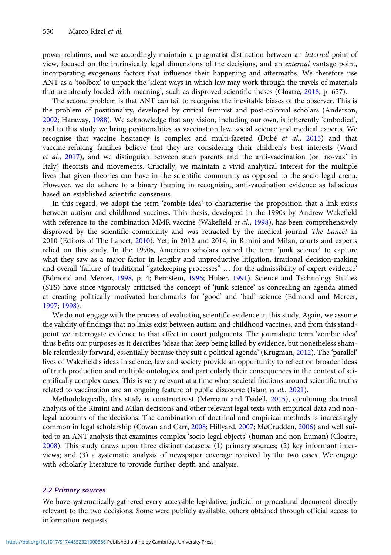power relations, and we accordingly maintain a pragmatist distinction between an *internal* point of view, focused on the intrinsically legal dimensions of the decisions, and an external vantage point, incorporating exogenous factors that influence their happening and aftermaths. We therefore use ANT as a 'toolbox' to unpack the 'silent ways in which law may work through the travels of materials that are already loaded with meaning', such as disproved scientific theses (Cloatre, [2018,](#page-18-0) p. 657).

The second problem is that ANT can fail to recognise the inevitable biases of the observer. This is the problem of positionality, developed by critical feminist and post-colonial scholars (Anderson, [2002;](#page-17-0) Haraway, [1988](#page-18-0)). We acknowledge that any vision, including our own, is inherently 'embodied', and to this study we bring positionalities as vaccination law, social science and medical experts. We recognise that vaccine hesitancy is complex and multi-faceted (Dubé et al., [2015](#page-18-0)) and that vaccine-refusing families believe that they are considering their children's best interests (Ward et al., [2017\)](#page-20-0), and we distinguish between such parents and the anti-vaccination (or 'no-vax' in Italy) theorists and movements. Crucially, we maintain a vivid analytical interest for the multiple lives that given theories can have in the scientific community as opposed to the socio-legal arena. However, we do adhere to a binary framing in recognising anti-vaccination evidence as fallacious based on established scientific consensus.

In this regard, we adopt the term 'zombie idea' to characterise the proposition that a link exists between autism and childhood vaccines. This thesis, developed in the 1990s by Andrew Wakefield with reference to the combination MMR vaccine (Wakefield et al., [1998](#page-20-0)), has been comprehensively disproved by the scientific community and was retracted by the medical journal The Lancet in 2010 (Editors of The Lancet, [2010](#page-18-0)). Yet, in 2012 and 2014, in Rimini and Milan, courts and experts relied on this study. In the 1990s, American scholars coined the term 'junk science' to capture what they saw as a major factor in lengthy and unproductive litigation, irrational decision-making and overall 'failure of traditional "gatekeeping processes" … for the admissibility of expert evidence' (Edmond and Mercer, [1998](#page-18-0), p. 4; Bernstein, [1996](#page-17-0); Huber, [1991](#page-18-0)). Science and Technology Studies (STS) have since vigorously criticised the concept of 'junk science' as concealing an agenda aimed at creating politically motivated benchmarks for 'good' and 'bad' science (Edmond and Mercer, [1997;](#page-18-0) [1998\)](#page-18-0).

We do not engage with the process of evaluating scientific evidence in this study. Again, we assume the validity of findings that no links exist between autism and childhood vaccines, and from this standpoint we interrogate evidence to that effect in court judgments. The journalistic term 'zombie idea' thus befits our purposes as it describes 'ideas that keep being killed by evidence, but nonetheless shamble relentlessly forward, essentially because they suit a political agenda' (Krugman, [2012\)](#page-19-0). The 'parallel' lives of Wakefield's ideas in science, law and society provide an opportunity to reflect on broader ideas of truth production and multiple ontologies, and particularly their consequences in the context of scientifically complex cases. This is very relevant at a time when societal frictions around scientific truths related to vaccination are an ongoing feature of public discourse (Islam et al., [2021\)](#page-19-0).

Methodologically, this study is constructivist (Merriam and Tsidell, [2015](#page-20-0)), combining doctrinal analysis of the Rimini and Milan decisions and other relevant legal texts with empirical data and nonlegal accounts of the decisions. The combination of doctrinal and empirical methods is increasingly common in legal scholarship (Cowan and Carr, [2008;](#page-18-0) Hillyard, [2007;](#page-18-0) McCrudden, [2006](#page-20-0)) and well suited to an ANT analysis that examines complex 'socio-legal objects' (human and non-human) (Cloatre, [2008\)](#page-18-0). This study draws upon three distinct datasets: (1) primary sources; (2) key informant interviews; and (3) a systematic analysis of newspaper coverage received by the two cases. We engage with scholarly literature to provide further depth and analysis.

## 2.2 Primary sources

We have systematically gathered every accessible legislative, judicial or procedural document directly relevant to the two decisions. Some were publicly available, others obtained through official access to information requests.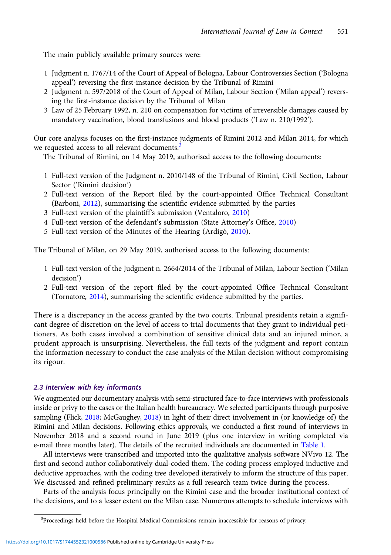The main publicly available primary sources were:

- 1 Judgment n. 1767/14 of the Court of Appeal of Bologna, Labour Controversies Section ('Bologna appeal') reversing the first-instance decision by the Tribunal of Rimini
- 2 Judgment n. 597/2018 of the Court of Appeal of Milan, Labour Section ('Milan appeal') reversing the first-instance decision by the Tribunal of Milan
- 3 Law of 25 February 1992, n. 210 on compensation for victims of irreversible damages caused by mandatory vaccination, blood transfusions and blood products ('Law n. 210/1992').

Our core analysis focuses on the first-instance judgments of Rimini 2012 and Milan 2014, for which we requested access to all relevant documents.<sup>3</sup>

The Tribunal of Rimini, on 14 May 2019, authorised access to the following documents:

- 1 Full-text version of the Judgment n. 2010/148 of the Tribunal of Rimini, Civil Section, Labour Sector ('Rimini decision')
- 2 Full-text version of the Report filed by the court-appointed Office Technical Consultant (Barboni, [2012\)](#page-17-0), summarising the scientific evidence submitted by the parties
- 3 Full-text version of the plaintiff's submission (Ventaloro, [2010\)](#page-20-0)
- 4 Full-text version of the defendant's submission (State Attorney's Office, [2010](#page-20-0))
- 5 Full-text version of the Minutes of the Hearing (Ardigò, [2010](#page-17-0)).

The Tribunal of Milan, on 29 May 2019, authorised access to the following documents:

- 1 Full-text version of the Judgment n. 2664/2014 of the Tribunal of Milan, Labour Section ('Milan decision')
- 2 Full-text version of the report filed by the court-appointed Office Technical Consultant (Tornatore, [2014](#page-20-0)), summarising the scientific evidence submitted by the parties.

There is a discrepancy in the access granted by the two courts. Tribunal presidents retain a significant degree of discretion on the level of access to trial documents that they grant to individual petitioners. As both cases involved a combination of sensitive clinical data and an injured minor, a prudent approach is unsurprising. Nevertheless, the full texts of the judgment and report contain the information necessary to conduct the case analysis of the Milan decision without compromising its rigour.

## 2.3 Interview with key informants

We augmented our documentary analysis with semi-structured face-to-face interviews with professionals inside or privy to the cases or the Italian health bureaucracy. We selected participants through purposive sampling (Flick, [2018;](#page-18-0) McGaughey, [2018](#page-20-0)) in light of their direct involvement in (or knowledge of) the Rimini and Milan decisions. Following ethics approvals, we conducted a first round of interviews in November 2018 and a second round in June 2019 (plus one interview in writing completed via e-mail three months later). The details of the recruited individuals are documented in [Table 1.](#page-4-0)

All interviews were transcribed and imported into the qualitative analysis software NVivo 12. The first and second author collaboratively dual-coded them. The coding process employed inductive and deductive approaches, with the coding tree developed iteratively to inform the structure of this paper. We discussed and refined preliminary results as a full research team twice during the process.

Parts of the analysis focus principally on the Rimini case and the broader institutional context of the decisions, and to a lesser extent on the Milan case. Numerous attempts to schedule interviews with

<sup>&</sup>lt;sup>3</sup>Proceedings held before the Hospital Medical Commissions remain inaccessible for reasons of privacy.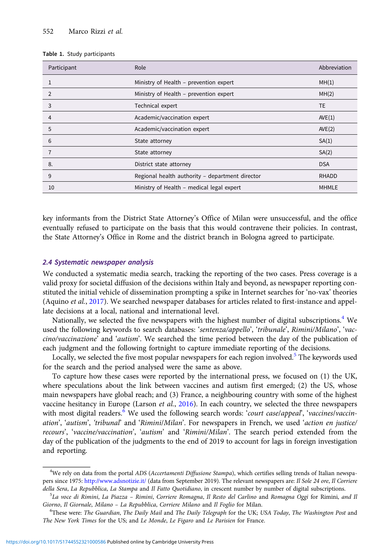<span id="page-4-0"></span>

|  |  |  | Table 1. Study participants |
|--|--|--|-----------------------------|
|--|--|--|-----------------------------|

| Participant    | Role                                            | Abbreviation |
|----------------|-------------------------------------------------|--------------|
|                | Ministry of Health - prevention expert          | MH(1)        |
| $\overline{2}$ | Ministry of Health - prevention expert          | MH(2)        |
| 3              | Technical expert                                | TE.          |
| 4              | Academic/vaccination expert                     | AVE(1)       |
| 5              | Academic/vaccination expert                     | AVE(2)       |
| 6              | State attorney                                  | SA(1)        |
|                | State attorney                                  | SA(2)        |
| 8.             | District state attorney                         | <b>DSA</b>   |
| 9              | Regional health authority - department director | <b>RHADD</b> |
| 10             | Ministry of Health - medical legal expert       | <b>MHMLE</b> |

key informants from the District State Attorney's Office of Milan were unsuccessful, and the office eventually refused to participate on the basis that this would contravene their policies. In contrast, the State Attorney's Office in Rome and the district branch in Bologna agreed to participate.

#### 2.4 Systematic newspaper analysis

We conducted a systematic media search, tracking the reporting of the two cases. Press coverage is a valid proxy for societal diffusion of the decisions within Italy and beyond, as newspaper reporting constituted the initial vehicle of dissemination prompting a spike in Internet searches for 'no-vax' theories (Aquino et al., [2017](#page-17-0)). We searched newspaper databases for articles related to first-instance and appellate decisions at a local, national and international level.

Nationally, we selected the five newspapers with the highest number of digital subscriptions.<sup>4</sup> We used the following keywords to search databases: 'sentenza/appello', 'tribunale', Rimini/Milano', 'vaccino/vaccinazione' and 'autism'. We searched the time period between the day of the publication of each judgment and the following fortnight to capture immediate reporting of the decisions.

Locally, we selected the five most popular newspapers for each region involved.<sup>5</sup> The keywords used for the search and the period analysed were the same as above.

To capture how these cases were reported by the international press, we focused on (1) the UK, where speculations about the link between vaccines and autism first emerged; (2) the US, whose main newspapers have global reach; and (3) France, a neighbouring country with some of the highest vaccine hesitancy in Europe (Larson et al.,  $2016$ ). In each country, we selected the three newspapers with most digital readers.<sup>6</sup> We used the following search words: 'court case/appeal', 'vaccines/vaccination', 'autism', 'tribunal' and 'Rimini/Milan'. For newspapers in French, we used 'action en justice/ recours', 'vaccine/vaccination', 'autism' and 'Rimini/Milan'. The search period extended from the day of the publication of the judgments to the end of 2019 to account for lags in foreign investigation and reporting.

<sup>&</sup>lt;sup>4</sup>We rely on data from the portal ADS (Accertamenti Diffusione Stampa), which certifies selling trends of Italian newspapers since 1975: <http://www.adsnotizie.it/> (data from September 2019). The relevant newspapers are: Il Sole 24 ore, Il Corriere della Sera, La Repubblica, La Stampa and Il Fatto Quotidiano, in crescent number by number of digital subscriptions.

<sup>&</sup>lt;sup>5</sup>La voce di Rimini, La Piazza – Rimini, Corriere Romagna, Il Resto del Carlino and Romagna Oggi for Rimini, and Il Giorno, Il Giornale, Milano – La Repubblica, Corriere Milano and Il Foglio for Milan. <sup>6</sup>

<sup>&</sup>lt;sup>6</sup>These were: The Guardian, The Daily Mail and The Daily Telegraph for the UK; USA Today, The Washington Post and The New York Times for the US; and Le Monde, Le Figaro and Le Parisien for France.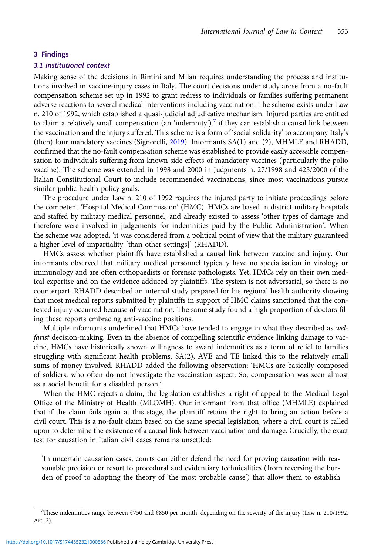## 3 Findings

## 3.1 Institutional context

Making sense of the decisions in Rimini and Milan requires understanding the process and institutions involved in vaccine-injury cases in Italy. The court decisions under study arose from a no-fault compensation scheme set up in 1992 to grant redress to individuals or families suffering permanent adverse reactions to several medical interventions including vaccination. The scheme exists under Law n. 210 of 1992, which established a quasi-judicial adjudicative mechanism. Injured parties are entitled to claim a relatively small compensation (an 'indemnity').<sup>7</sup> if they can establish a causal link between the vaccination and the injury suffered. This scheme is a form of 'social solidarity' to accompany Italy's (then) four mandatory vaccines (Signorelli, [2019\)](#page-20-0). Informants SA(1) and (2), MHMLE and RHADD, confirmed that the no-fault compensation scheme was established to provide easily accessible compensation to individuals suffering from known side effects of mandatory vaccines (particularly the polio vaccine). The scheme was extended in 1998 and 2000 in Judgments n. 27/1998 and 423/2000 of the Italian Constitutional Court to include recommended vaccinations, since most vaccinations pursue similar public health policy goals.

The procedure under Law n. 210 of 1992 requires the injured party to initiate proceedings before the competent 'Hospital Medical Commission' (HMC). HMCs are based in district military hospitals and staffed by military medical personnel, and already existed to assess 'other types of damage and therefore were involved in judgements for indemnities paid by the Public Administration'. When the scheme was adopted, 'it was considered from a political point of view that the military guaranteed a higher level of impartiality [than other settings]' (RHADD).

HMCs assess whether plaintiffs have established a causal link between vaccine and injury. Our informants observed that military medical personnel typically have no specialisation in virology or immunology and are often orthopaedists or forensic pathologists. Yet, HMCs rely on their own medical expertise and on the evidence adduced by plaintiffs. The system is not adversarial, so there is no counterpart. RHADD described an internal study prepared for his regional health authority showing that most medical reports submitted by plaintiffs in support of HMC claims sanctioned that the contested injury occurred because of vaccination. The same study found a high proportion of doctors filing these reports embracing anti-vaccine positions.

Multiple informants underlined that HMCs have tended to engage in what they described as welfarist decision-making. Even in the absence of compelling scientific evidence linking damage to vaccine, HMCs have historically shown willingness to award indemnities as a form of relief to families struggling with significant health problems. SA(2), AVE and TE linked this to the relatively small sums of money involved. RHADD added the following observation: 'HMCs are basically composed of soldiers, who often do not investigate the vaccination aspect. So, compensation was seen almost as a social benefit for a disabled person.'

When the HMC rejects a claim, the legislation establishes a right of appeal to the Medical Legal Office of the Ministry of Health (MLOMH). Our informant from that office (MHMLE) explained that if the claim fails again at this stage, the plaintiff retains the right to bring an action before a civil court. This is a no-fault claim based on the same special legislation, where a civil court is called upon to determine the existence of a causal link between vaccination and damage. Crucially, the exact test for causation in Italian civil cases remains unsettled:

'In uncertain causation cases, courts can either defend the need for proving causation with reasonable precision or resort to procedural and evidentiary technicalities (from reversing the burden of proof to adopting the theory of 'the most probable cause') that allow them to establish

<sup>7</sup> These indemnities range between €750 and €850 per month, depending on the severity of the injury (Law n. 210/1992, Art. 2).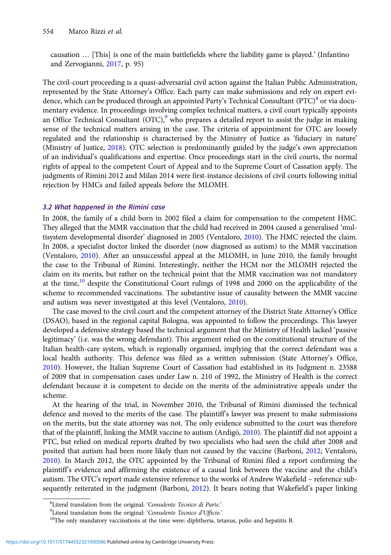causation … [This] is one of the main battlefields where the liability game is played.' (Infantino and Zervogianni, [2017,](#page-19-0) p. 95)

The civil-court proceeding is a quasi-adversarial civil action against the Italian Public Administration, represented by the State Attorney's Office. Each party can make submissions and rely on expert evidence, which can be produced through an appointed Party's Technical Consultant ( $PTC$ <sup>8</sup> or via documentary evidence. In proceedings involving complex technical matters, a civil court typically appoints an Office Technical Consultant  $(OTC)$ , who prepares a detailed report to assist the judge in making sense of the technical matters arising in the case. The criteria of appointment for OTC are loosely regulated and the relationship is characterised by the Ministry of Justice as 'fiduciary in nature' (Ministry of Justice, [2018](#page-20-0)). OTC selection is predominantly guided by the judge's own appreciation of an individual's qualifications and expertise. Once proceedings start in the civil courts, the normal rights of appeal to the competent Court of Appeal and to the Supreme Court of Cassation apply. The judgments of Rimini 2012 and Milan 2014 were first-instance decisions of civil courts following initial rejection by HMCs and failed appeals before the MLOMH.

### 3.2 What happened in the Rimini case

In 2008, the family of a child born in 2002 filed a claim for compensation to the competent HMC. They alleged that the MMR vaccination that the child had received in 2004 caused a generalised 'multisystem developmental disorder' diagnosed in 2005 (Ventaloro, [2010\)](#page-20-0). The HMC rejected the claim. In 2008, a specialist doctor linked the disorder (now diagnosed as autism) to the MMR vaccination (Ventaloro, [2010\)](#page-20-0). After an unsuccessful appeal at the MLOMH, in June 2010, the family brought the case to the Tribunal of Rimini. Interestingly, neither the HCM nor the MLOMH rejected the claim on its merits, but rather on the technical point that the MMR vaccination was not mandatory at the time,<sup>10</sup> despite the Constitutional Court rulings of 1998 and 2000 on the applicability of the scheme to recommended vaccinations. The substantive issue of causality between the MMR vaccine and autism was never investigated at this level (Ventaloro, [2010\)](#page-20-0).

The case moved to the civil court and the competent attorney of the District State Attorney's Office (DSAO), based in the regional capital Bologna, was appointed to follow the proceedings. This lawyer developed a defensive strategy based the technical argument that the Ministry of Health lacked 'passive legitimacy' (i.e. was the wrong defendant). This argument relied on the constitutional structure of the Italian health-care system, which is regionally organised, implying that the correct defendant was a local health authority. This defence was filed as a written submission (State Attorney's Office, [2010\)](#page-20-0). However, the Italian Supreme Court of Cassation had established in its Judgment n. 23588 of 2009 that in compensation cases under Law n. 210 of 1992, the Ministry of Health is the correct defendant because it is competent to decide on the merits of the administrative appeals under the scheme.

At the hearing of the trial, in November 2010, the Tribunal of Rimini dismissed the technical defence and moved to the merits of the case. The plaintiff's lawyer was present to make submissions on the merits, but the state attorney was not. The only evidence submitted to the court was therefore that of the plaintiff, linking the MMR vaccine to autism (Ardigò, [2010\)](#page-17-0). The plaintiff did not appoint a PTC, but relied on medical reports drafted by two specialists who had seen the child after 2008 and posited that autism had been more likely than not caused by the vaccine (Barboni, [2012;](#page-17-0) Ventaloro, [2010\)](#page-20-0). In March 2012, the OTC appointed by the Tribunal of Rimini filed a report confirming the plaintiff's evidence and affirming the existence of a causal link between the vaccine and the child's autism. The OTC's report made extensive reference to the works of Andrew Wakefield – reference subsequently reiterated in the judgment (Barboni, [2012](#page-17-0)). It bears noting that Wakefield's paper linking

<sup>&</sup>lt;sup>8</sup> Literal translation from the original: 'Consulente Tecnico di Parte.'<br><sup>9</sup>I iteral translation from the original: 'Consulente Tecnico d'Ufficio

<sup>&</sup>lt;sup>9</sup>Literal translation from the original: '*Consulente Tecnico d'Ufficio.'* <sup>10</sup>The only mandatory vaccinations at the time were: diphtheria, tetanus, polio and hepatitis B.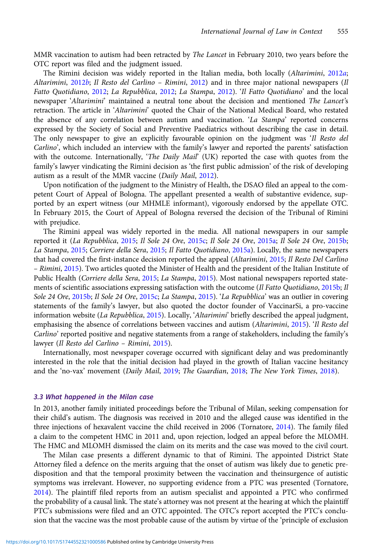MMR vaccination to autism had been retracted by The Lancet in February 2010, two years before the OTC report was filed and the judgment issued.

The Rimini decision was widely reported in the Italian media, both locally (Altarimini, [2012](#page-17-0)a; Altarimini, [2012](#page-19-0)b; Il Resto del Carlino – Rimini, 2012) and in three major national newspapers (Il Fatto Quotidiano, [2012;](#page-18-0) La Repubblica, [2012](#page-19-0); La Stampa, [2012](#page-19-0)). 'Il Fatto Quotidiano' and the local newspaper 'Altarimini' maintained a neutral tone about the decision and mentioned The Lancet's retraction. The article in 'Altarimini' quoted the Chair of the National Medical Board, who restated the absence of any correlation between autism and vaccination. 'La Stampa' reported concerns expressed by the Society of Social and Preventive Paediatrics without describing the case in detail. The only newspaper to give an explicitly favourable opinion on the judgment was 'Il Resto del Carlino', which included an interview with the family's lawyer and reported the parents' satisfaction with the outcome. Internationally, 'The Daily Mail' (UK) reported the case with quotes from the family's lawyer vindicating the Rimini decision as 'the first public admission' of the risk of developing autism as a result of the MMR vaccine (Daily Mail, [2012](#page-18-0)).

Upon notification of the judgment to the Ministry of Health, the DSAO filed an appeal to the competent Court of Appeal of Bologna. The appellant presented a wealth of substantive evidence, supported by an expert witness (our MHMLE informant), vigorously endorsed by the appellate OTC. In February 2015, the Court of Appeal of Bologna reversed the decision of the Tribunal of Rimini with prejudice.

The Rimini appeal was widely reported in the media. All national newspapers in our sample reported it (La Repubblica, [2015](#page-19-0); Il Sole 24 Ore, [2015c;](#page-19-0) Il Sole 24 Ore, [2015a](#page-19-0); Il Sole 24 Ore, [2015b](#page-19-0); La Stampa, [2015](#page-19-0); Corriere della Sera, [2015](#page-18-0); Il Fatto Quotidiano, [2015a](#page-18-0)). Locally, the same newspapers that had covered the first-instance decision reported the appeal (Altarimini, [2015;](#page-17-0) Il Resto Del Carlino – Rimini, [2015\)](#page-19-0). Two articles quoted the Minister of Health and the president of the Italian Institute of Public Health (Corriere della Sera, [2015](#page-18-0); La Stampa, [2015](#page-19-0)). Most national newspapers reported state-ments of scientific associations expressing satisfaction with the outcome (Il Fatto Quotidiano, [2015b](#page-19-0); Il Sole 24 Ore, [2015b;](#page-19-0) Il Sole 24 Ore, [2015c;](#page-19-0) La Stampa, [2015](#page-19-0)). 'La Repubblica' was an outlier in covering statements of the family's lawyer, but also quoted the doctor founder of VaccinarSi, a pro-vaccine information website (La Repubblica, [2015\)](#page-19-0). Locally, 'Altarimini' briefly described the appeal judgment, emphasising the absence of correlations between vaccines and autism (Altarimini, [2015](#page-17-0)). 'Il Resto del Carlino' reported positive and negative statements from a range of stakeholders, including the family's lawyer (Il Resto del Carlino – Rimini, [2015\)](#page-19-0).

Internationally, most newspaper coverage occurred with significant delay and was predominantly interested in the role that the initial decision had played in the growth of Italian vaccine hesitancy and the 'no-vax' movement (Daily Mail, [2019](#page-18-0); The Guardian, [2018;](#page-18-0) The New York Times, [2018](#page-20-0)).

## 3.3 What happened in the Milan case

In 2013, another family initiated proceedings before the Tribunal of Milan, seeking compensation for their child's autism. The diagnosis was received in 2010 and the alleged cause was identified in the three injections of hexavalent vaccine the child received in 2006 (Tornatore, [2014\)](#page-20-0). The family filed a claim to the competent HMC in 2011 and, upon rejection, lodged an appeal before the MLOMH. The HMC and MLOMH dismissed the claim on its merits and the case was moved to the civil court.

The Milan case presents a different dynamic to that of Rimini. The appointed District State Attorney filed a defence on the merits arguing that the onset of autism was likely due to genetic predisposition and that the temporal proximity between the vaccination and theinsurgence of autistic symptoms was irrelevant. However, no supporting evidence from a PTC was presented (Tornatore, [2014](#page-20-0)). The plaintiff filed reports from an autism specialist and appointed a PTC who confirmed the probability of a causal link. The state's attorney was not present at the hearing at which the plaintiff PTC's submissions were filed and an OTC appointed. The OTC's report accepted the PTC's conclusion that the vaccine was the most probable cause of the autism by virtue of the 'principle of exclusion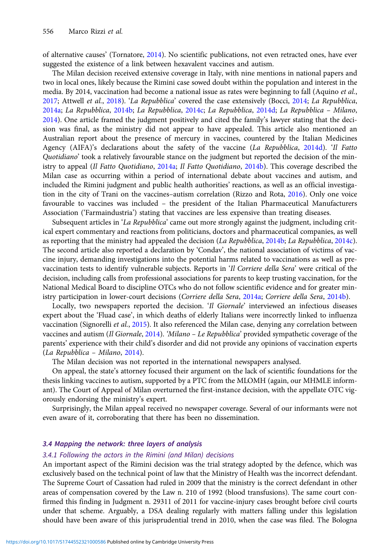of alternative causes' (Tornatore, [2014\)](#page-20-0). No scientific publications, not even retracted ones, have ever suggested the existence of a link between hexavalent vaccines and autism.

The Milan decision received extensive coverage in Italy, with nine mentions in national papers and two in local ones, likely because the Rimini case sowed doubt within the population and interest in the media. By 2014, vaccination had become a national issue as rates were beginning to fall (Aquino et al., [2017;](#page-17-0) Attwell et al., [2018](#page-17-0)). 'La Repubblica' covered the case extensively (Bocci, [2014;](#page-17-0) La Repubblica, [2014a;](#page-19-0) La Repubblica, [2014b](#page-19-0); La Repubblica, [2014c;](#page-19-0) La Repubblica, [2014d](#page-19-0); La Repubblica – Milano, [2014\)](#page-19-0). One article framed the judgment positively and cited the family's lawyer stating that the decision was final, as the ministry did not appear to have appealed. This article also mentioned an Australian report about the presence of mercury in vaccines, countered by the Italian Medicines Agency (AIFA)'s declarations about the safety of the vaccine (La Repubblica, [2014d](#page-19-0)). 'Il Fatto Quotidiano' took a relatively favourable stance on the judgment but reported the decision of the min-istry to appeal (Il Fatto Quotidiano, [2014a;](#page-18-0) Il Fatto Quotidiano, [2014b](#page-18-0)). This coverage described the Milan case as occurring within a period of international debate about vaccines and autism, and included the Rimini judgment and public health authorities' reactions, as well as an official investigation in the city of Trani on the vaccines–autism correlation (Rizzo and Rota, [2016\)](#page-20-0). Only one voice favourable to vaccines was included – the president of the Italian Pharmaceutical Manufacturers Association ('Farmaindustria') stating that vaccines are less expensive than treating diseases.

Subsequent articles in 'La Repubblica' came out more strongly against the judgment, including critical expert commentary and reactions from politicians, doctors and pharmaceutical companies, as well as reporting that the ministry had appealed the decision (La Repubblica, [2014b;](#page-19-0) La Repubblica, [2014c](#page-19-0)). The second article also reported a declaration by 'Condav', the national association of victims of vaccine injury, demanding investigations into the potential harms related to vaccinations as well as prevaccination tests to identify vulnerable subjects. Reports in 'Il Corriere della Sera' were critical of the decision, including calls from professional associations for parents to keep trusting vaccination, for the National Medical Board to discipline OTCs who do not follow scientific evidence and for greater min-istry participation in lower-court decisions (Corriere della Sera, [2014a;](#page-18-0) Corriere della Sera, [2014b](#page-18-0)).

Locally, two newspapers reported the decision. 'Il Giornale' interviewed an infectious diseases expert about the 'Fluad case', in which deaths of elderly Italians were incorrectly linked to influenza vaccination (Signorelli et al., [2015](#page-20-0)). It also referenced the Milan case, denying any correlation between vaccines and autism (Il Giornale, [2014\)](#page-19-0). 'Milano - Le Repubblica' provided sympathetic coverage of the parents' experience with their child's disorder and did not provide any opinions of vaccination experts (La Repubblica – Milano, [2014](#page-19-0)).

The Milan decision was not reported in the international newspapers analysed.

On appeal, the state's attorney focused their argument on the lack of scientific foundations for the thesis linking vaccines to autism, supported by a PTC from the MLOMH (again, our MHMLE informant). The Court of Appeal of Milan overturned the first-instance decision, with the appellate OTC vigorously endorsing the ministry's expert.

Surprisingly, the Milan appeal received no newspaper coverage. Several of our informants were not even aware of it, corroborating that there has been no dissemination.

## 3.4 Mapping the network: three layers of analysis

## 3.4.1 Following the actors in the Rimini (and Milan) decisions

An important aspect of the Rimini decision was the trial strategy adopted by the defence, which was exclusively based on the technical point of law that the Ministry of Health was the incorrect defendant. The Supreme Court of Cassation had ruled in 2009 that the ministry is the correct defendant in other areas of compensation covered by the Law n. 210 of 1992 (blood transfusions). The same court confirmed this finding in Judgment n. 29311 of 2011 for vaccine-injury cases brought before civil courts under that scheme. Arguably, a DSA dealing regularly with matters falling under this legislation should have been aware of this jurisprudential trend in 2010, when the case was filed. The Bologna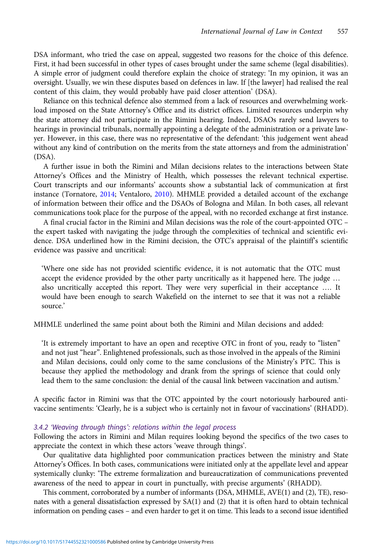DSA informant, who tried the case on appeal, suggested two reasons for the choice of this defence. First, it had been successful in other types of cases brought under the same scheme (legal disabilities). A simple error of judgment could therefore explain the choice of strategy: 'In my opinion, it was an oversight. Usually, we win these disputes based on defences in law. If [the lawyer] had realised the real content of this claim, they would probably have paid closer attention' (DSA).

Reliance on this technical defence also stemmed from a lack of resources and overwhelming workload imposed on the State Attorney's Office and its district offices. Limited resources underpin why the state attorney did not participate in the Rimini hearing. Indeed, DSAOs rarely send lawyers to hearings in provincial tribunals, normally appointing a delegate of the administration or a private lawyer. However, in this case, there was no representative of the defendant: 'this judgement went ahead without any kind of contribution on the merits from the state attorneys and from the administration' (DSA).

A further issue in both the Rimini and Milan decisions relates to the interactions between State Attorney's Offices and the Ministry of Health, which possesses the relevant technical expertise. Court transcripts and our informants' accounts show a substantial lack of communication at first instance (Tornatore, [2014;](#page-20-0) Ventaloro, [2010\)](#page-20-0). MHMLE provided a detailed account of the exchange of information between their office and the DSAOs of Bologna and Milan. In both cases, all relevant communications took place for the purpose of the appeal, with no recorded exchange at first instance.

A final crucial factor in the Rimini and Milan decisions was the role of the court-appointed OTC – the expert tasked with navigating the judge through the complexities of technical and scientific evidence. DSA underlined how in the Rimini decision, the OTC's appraisal of the plaintiff's scientific evidence was passive and uncritical:

'Where one side has not provided scientific evidence, it is not automatic that the OTC must accept the evidence provided by the other party uncritically as it happened here. The judge … also uncritically accepted this report. They were very superficial in their acceptance …. It would have been enough to search Wakefield on the internet to see that it was not a reliable source.'

MHMLE underlined the same point about both the Rimini and Milan decisions and added:

'It is extremely important to have an open and receptive OTC in front of you, ready to "listen" and not just "hear". Enlightened professionals, such as those involved in the appeals of the Rimini and Milan decisions, could only come to the same conclusions of the Ministry's PTC. This is because they applied the methodology and drank from the springs of science that could only lead them to the same conclusion: the denial of the causal link between vaccination and autism.'

A specific factor in Rimini was that the OTC appointed by the court notoriously harboured antivaccine sentiments: 'Clearly, he is a subject who is certainly not in favour of vaccinations' (RHADD).

#### 3.4.2 'Weaving through things': relations within the legal process

Following the actors in Rimini and Milan requires looking beyond the specifics of the two cases to appreciate the context in which these actors 'weave through things'.

Our qualitative data highlighted poor communication practices between the ministry and State Attorney's Offices. In both cases, communications were initiated only at the appellate level and appear systemically clunky: 'The extreme formalization and bureaucratization of communications prevented awareness of the need to appear in court in punctually, with precise arguments' (RHADD).

This comment, corroborated by a number of informants (DSA, MHMLE, AVE(1) and (2), TE), resonates with a general dissatisfaction expressed by SA(1) and (2) that it is often hard to obtain technical information on pending cases – and even harder to get it on time. This leads to a second issue identified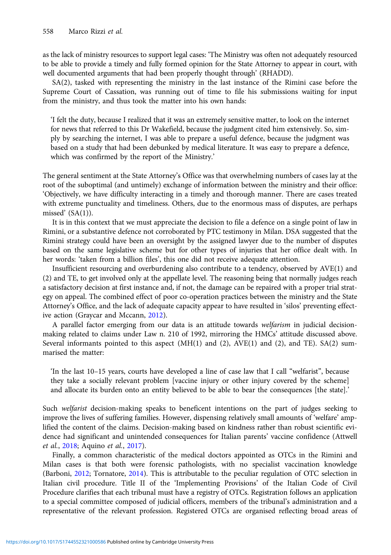as the lack of ministry resources to support legal cases: 'The Ministry was often not adequately resourced to be able to provide a timely and fully formed opinion for the State Attorney to appear in court, with well documented arguments that had been properly thought through' (RHADD).

SA(2), tasked with representing the ministry in the last instance of the Rimini case before the Supreme Court of Cassation, was running out of time to file his submissions waiting for input from the ministry, and thus took the matter into his own hands:

'I felt the duty, because I realized that it was an extremely sensitive matter, to look on the internet for news that referred to this Dr Wakefield, because the judgment cited him extensively. So, simply by searching the internet, I was able to prepare a useful defence, because the judgment was based on a study that had been debunked by medical literature. It was easy to prepare a defence, which was confirmed by the report of the Ministry.'

The general sentiment at the State Attorney's Office was that overwhelming numbers of cases lay at the root of the suboptimal (and untimely) exchange of information between the ministry and their office: 'Objectively, we have difficulty interacting in a timely and thorough manner. There are cases treated with extreme punctuality and timeliness. Others, due to the enormous mass of disputes, are perhaps missed'  $(SA(1))$ .

It is in this context that we must appreciate the decision to file a defence on a single point of law in Rimini, or a substantive defence not corroborated by PTC testimony in Milan. DSA suggested that the Rimini strategy could have been an oversight by the assigned lawyer due to the number of disputes based on the same legislative scheme but for other types of injuries that her office dealt with. In her words: 'taken from a billion files', this one did not receive adequate attention.

Insufficient resourcing and overburdening also contribute to a tendency, observed by AVE(1) and (2) and TE, to get involved only at the appellate level. The reasoning being that normally judges reach a satisfactory decision at first instance and, if not, the damage can be repaired with a proper trial strategy on appeal. The combined effect of poor co-operation practices between the ministry and the State Attorney's Office, and the lack of adequate capacity appear to have resulted in 'silos' preventing effect-ive action (Graycar and Mccann, [2012\)](#page-18-0).

A parallel factor emerging from our data is an attitude towards welfarism in judicial decisionmaking related to claims under Law n. 210 of 1992, mirroring the HMCs' attitude discussed above. Several informants pointed to this aspect (MH(1) and (2), AVE(1) and (2), and TE). SA(2) summarised the matter:

'In the last 10–15 years, courts have developed a line of case law that I call "welfarist", because they take a socially relevant problem [vaccine injury or other injury covered by the scheme] and allocate its burden onto an entity believed to be able to bear the consequences [the state].'

Such welfarist decision-making speaks to beneficent intentions on the part of judges seeking to improve the lives of suffering families. However, dispensing relatively small amounts of 'welfare' amplified the content of the claims. Decision-making based on kindness rather than robust scientific evidence had significant and unintended consequences for Italian parents' vaccine confidence (Attwell et al., [2018](#page-17-0); Aquino et al., [2017](#page-17-0)).

Finally, a common characteristic of the medical doctors appointed as OTCs in the Rimini and Milan cases is that both were forensic pathologists, with no specialist vaccination knowledge (Barboni, [2012;](#page-17-0) Tornatore, [2014](#page-20-0)). This is attributable to the peculiar regulation of OTC selection in Italian civil procedure. Title II of the 'Implementing Provisions' of the Italian Code of Civil Procedure clarifies that each tribunal must have a registry of OTCs. Registration follows an application to a special committee composed of judicial officers, members of the tribunal's administration and a representative of the relevant profession. Registered OTCs are organised reflecting broad areas of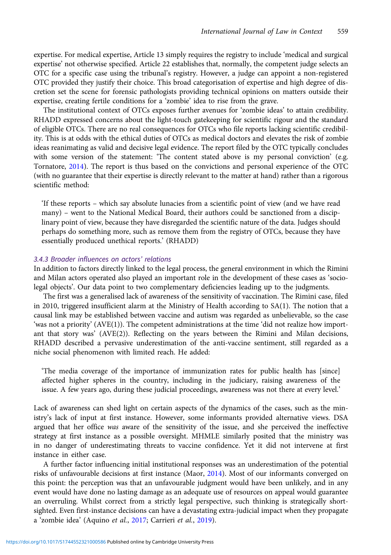expertise. For medical expertise, Article 13 simply requires the registry to include 'medical and surgical expertise' not otherwise specified. Article 22 establishes that, normally, the competent judge selects an OTC for a specific case using the tribunal's registry. However, a judge can appoint a non-registered OTC provided they justify their choice. This broad categorisation of expertise and high degree of discretion set the scene for forensic pathologists providing technical opinions on matters outside their expertise, creating fertile conditions for a 'zombie' idea to rise from the grave.

The institutional context of OTCs exposes further avenues for 'zombie ideas' to attain credibility. RHADD expressed concerns about the light-touch gatekeeping for scientific rigour and the standard of eligible OTCs. There are no real consequences for OTCs who file reports lacking scientific credibility. This is at odds with the ethical duties of OTCs as medical doctors and elevates the risk of zombie ideas reanimating as valid and decisive legal evidence. The report filed by the OTC typically concludes with some version of the statement: 'The content stated above is my personal conviction' (e.g. Tornatore, [2014\)](#page-20-0). The report is thus based on the convictions and personal experience of the OTC (with no guarantee that their expertise is directly relevant to the matter at hand) rather than a rigorous scientific method:

'If these reports – which say absolute lunacies from a scientific point of view (and we have read many) – went to the National Medical Board, their authors could be sanctioned from a disciplinary point of view, because they have disregarded the scientific nature of the data. Judges should perhaps do something more, such as remove them from the registry of OTCs, because they have essentially produced unethical reports.' (RHADD)

## 3.4.3 Broader influences on actors' relations

In addition to factors directly linked to the legal process, the general environment in which the Rimini and Milan actors operated also played an important role in the development of these cases as 'sociolegal objects'. Our data point to two complementary deficiencies leading up to the judgments.

The first was a generalised lack of awareness of the sensitivity of vaccination. The Rimini case, filed in 2010, triggered insufficient alarm at the Ministry of Health according to SA(1). The notion that a causal link may be established between vaccine and autism was regarded as unbelievable, so the case 'was not a priority' (AVE(1)). The competent administrations at the time 'did not realize how important that story was' (AVE(2)). Reflecting on the years between the Rimini and Milan decisions, RHADD described a pervasive underestimation of the anti-vaccine sentiment, still regarded as a niche social phenomenon with limited reach. He added:

'The media coverage of the importance of immunization rates for public health has [since] affected higher spheres in the country, including in the judiciary, raising awareness of the issue. A few years ago, during these judicial proceedings, awareness was not there at every level.'

Lack of awareness can shed light on certain aspects of the dynamics of the cases, such as the ministry's lack of input at first instance. However, some informants provided alternative views. DSA argued that her office was aware of the sensitivity of the issue, and she perceived the ineffective strategy at first instance as a possible oversight. MHMLE similarly posited that the ministry was in no danger of underestimating threats to vaccine confidence. Yet it did not intervene at first instance in either case.

A further factor influencing initial institutional responses was an underestimation of the potential risks of unfavourable decisions at first instance (Maor, [2014](#page-20-0)). Most of our informants converged on this point: the perception was that an unfavourable judgment would have been unlikely, and in any event would have done no lasting damage as an adequate use of resources on appeal would guarantee an overruling. Whilst correct from a strictly legal perspective, such thinking is strategically shortsighted. Even first-instance decisions can have a devastating extra-judicial impact when they propagate a 'zombie idea' (Aquino et al., [2017;](#page-17-0) Carrieri et al., [2019](#page-17-0)).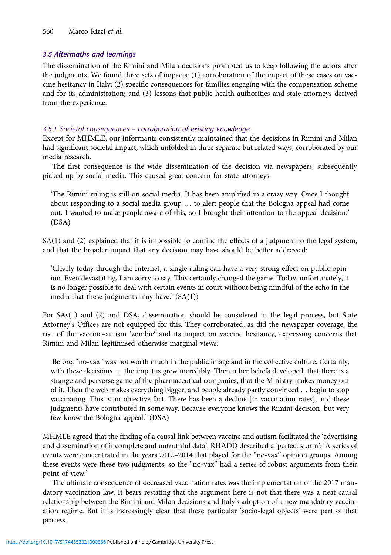## 3.5 Aftermaths and learnings

The dissemination of the Rimini and Milan decisions prompted us to keep following the actors after the judgments. We found three sets of impacts: (1) corroboration of the impact of these cases on vaccine hesitancy in Italy; (2) specific consequences for families engaging with the compensation scheme and for its administration; and (3) lessons that public health authorities and state attorneys derived from the experience.

## 3.5.1 Societal consequences – corroboration of existing knowledge

Except for MHMLE, our informants consistently maintained that the decisions in Rimini and Milan had significant societal impact, which unfolded in three separate but related ways, corroborated by our media research.

The first consequence is the wide dissemination of the decision via newspapers, subsequently picked up by social media. This caused great concern for state attorneys:

'The Rimini ruling is still on social media. It has been amplified in a crazy way. Once I thought about responding to a social media group … to alert people that the Bologna appeal had come out. I wanted to make people aware of this, so I brought their attention to the appeal decision.' (DSA)

 $SA(1)$  and (2) explained that it is impossible to confine the effects of a judgment to the legal system, and that the broader impact that any decision may have should be better addressed:

'Clearly today through the Internet, a single ruling can have a very strong effect on public opinion. Even devastating, I am sorry to say. This certainly changed the game. Today, unfortunately, it is no longer possible to deal with certain events in court without being mindful of the echo in the media that these judgments may have.'  $(SA(1))$ 

For SAs(1) and (2) and DSA, dissemination should be considered in the legal process, but State Attorney's Offices are not equipped for this. They corroborated, as did the newspaper coverage, the rise of the vaccine–autism 'zombie' and its impact on vaccine hesitancy, expressing concerns that Rimini and Milan legitimised otherwise marginal views:

'Before, "no-vax" was not worth much in the public image and in the collective culture. Certainly, with these decisions … the impetus grew incredibly. Then other beliefs developed: that there is a strange and perverse game of the pharmaceutical companies, that the Ministry makes money out of it. Then the web makes everything bigger, and people already partly convinced … begin to stop vaccinating. This is an objective fact. There has been a decline [in vaccination rates], and these judgments have contributed in some way. Because everyone knows the Rimini decision, but very few know the Bologna appeal.' (DSA)

MHMLE agreed that the finding of a causal link between vaccine and autism facilitated the 'advertising and dissemination of incomplete and untruthful data'. RHADD described a 'perfect storm': 'A series of events were concentrated in the years 2012–2014 that played for the "no-vax" opinion groups. Among these events were these two judgments, so the "no-vax" had a series of robust arguments from their point of view.'

The ultimate consequence of decreased vaccination rates was the implementation of the 2017 mandatory vaccination law. It bears restating that the argument here is not that there was a neat causal relationship between the Rimini and Milan decisions and Italy's adoption of a new mandatory vaccination regime. But it is increasingly clear that these particular 'socio-legal objects' were part of that process.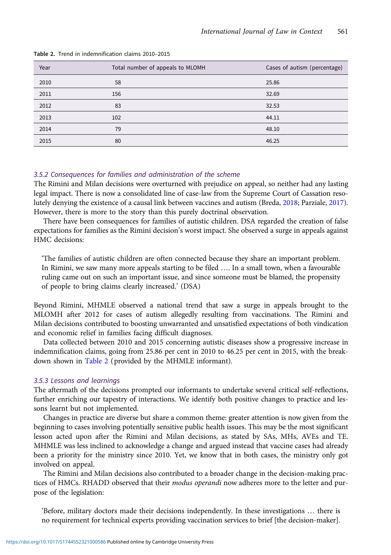| Year | Total number of appeals to MLOMH | Cases of autism (percentage) |
|------|----------------------------------|------------------------------|
| 2010 | 58                               | 25.86                        |
| 2011 | 156                              | 32.69                        |
| 2012 | 83                               | 32.53                        |
| 2013 | 102                              | 44.11                        |
| 2014 | 79                               | 48.10                        |
| 2015 | 80                               | 46.25                        |

Table 2. Trend in indemnification claims 2010–2015

## 3.5.2 Consequences for families and administration of the scheme

The Rimini and Milan decisions were overturned with prejudice on appeal, so neither had any lasting legal impact. There is now a consolidated line of case-law from the Supreme Court of Cassation resolutely denying the existence of a causal link between vaccines and autism (Breda, [2018;](#page-17-0) Parziale, [2017\)](#page-20-0). However, there is more to the story than this purely doctrinal observation.

There have been consequences for families of autistic children. DSA regarded the creation of false expectations for families as the Rimini decision's worst impact. She observed a surge in appeals against HMC decisions:

'The families of autistic children are often connected because they share an important problem. In Rimini, we saw many more appeals starting to be filed …. In a small town, when a favourable ruling came out on such an important issue, and since someone must be blamed, the propensity of people to bring claims clearly increased.' (DSA)

Beyond Rimini, MHMLE observed a national trend that saw a surge in appeals brought to the MLOMH after 2012 for cases of autism allegedly resulting from vaccinations. The Rimini and Milan decisions contributed to boosting unwarranted and unsatisfied expectations of both vindication and economic relief in families facing difficult diagnoses.

Data collected between 2010 and 2015 concerning autistic diseases show a progressive increase in indemnification claims, going from 25.86 per cent in 2010 to 46.25 per cent in 2015, with the breakdown shown in Table 2 (provided by the MHMLE informant).

## 3.5.3 Lessons and learnings

The aftermath of the decisions prompted our informants to undertake several critical self-reflections, further enriching our tapestry of interactions. We identify both positive changes to practice and lessons learnt but not implemented.

Changes in practice are diverse but share a common theme: greater attention is now given from the beginning to cases involving potentially sensitive public health issues. This may be the most significant lesson acted upon after the Rimini and Milan decisions, as stated by SAs, MHs, AVEs and TE. MHMLE was less inclined to acknowledge a change and argued instead that vaccine cases had already been a priority for the ministry since 2010. Yet, we know that in both cases, the ministry only got involved on appeal.

The Rimini and Milan decisions also contributed to a broader change in the decision-making practices of HMCs. RHADD observed that their modus operandi now adheres more to the letter and purpose of the legislation:

'Before, military doctors made their decisions independently. In these investigations … there is no requirement for technical experts providing vaccination services to brief [the decision-maker].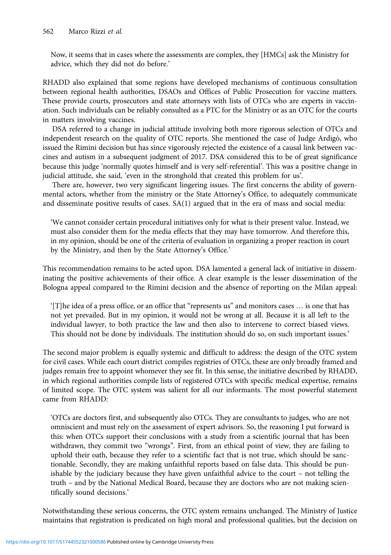Now, it seems that in cases where the assessments are complex, they [HMCs] ask the Ministry for advice, which they did not do before.'

RHADD also explained that some regions have developed mechanisms of continuous consultation between regional health authorities, DSAOs and Offices of Public Prosecution for vaccine matters. These provide courts, prosecutors and state attorneys with lists of OTCs who are experts in vaccination. Such individuals can be reliably consulted as a PTC for the Ministry or as an OTC for the courts in matters involving vaccines.

DSA referred to a change in judicial attitude involving both more rigorous selection of OTCs and independent research on the quality of OTC reports. She mentioned the case of Judge Ardigò, who issued the Rimini decision but has since vigorously rejected the existence of a causal link between vaccines and autism in a subsequent judgment of 2017. DSA considered this to be of great significance because this judge 'normally quotes himself and is very self-referential'. This was a positive change in judicial attitude, she said, 'even in the stronghold that created this problem for us'.

There are, however, two very significant lingering issues. The first concerns the ability of governmental actors, whether from the ministry or the State Attorney's Office, to adequately communicate and disseminate positive results of cases. SA(1) argued that in the era of mass and social media:

'We cannot consider certain procedural initiatives only for what is their present value. Instead, we must also consider them for the media effects that they may have tomorrow. And therefore this, in my opinion, should be one of the criteria of evaluation in organizing a proper reaction in court by the Ministry, and then by the State Attorney's Office.'

This recommendation remains to be acted upon. DSA lamented a general lack of initiative in disseminating the positive achievements of their office. A clear example is the lesser dissemination of the Bologna appeal compared to the Rimini decision and the absence of reporting on the Milan appeal:

'[T]he idea of a press office, or an office that "represents us" and monitors cases … is one that has not yet prevailed. But in my opinion, it would not be wrong at all. Because it is all left to the individual lawyer, to both practice the law and then also to intervene to correct biased views. This should not be done by individuals. The institution should do so, on such important issues.'

The second major problem is equally systemic and difficult to address: the design of the OTC system for civil cases. While each court district compiles registries of OTCs, these are only broadly framed and judges remain free to appoint whomever they see fit. In this sense, the initiative described by RHADD, in which regional authorities compile lists of registered OTCs with specific medical expertise, remains of limited scope. The OTC system was salient for all our informants. The most powerful statement came from RHADD:

'OTCs are doctors first, and subsequently also OTCs. They are consultants to judges, who are not omniscient and must rely on the assessment of expert advisors. So, the reasoning I put forward is this: when OTCs support their conclusions with a study from a scientific journal that has been withdrawn, they commit two "wrongs". First, from an ethical point of view, they are failing to uphold their oath, because they refer to a scientific fact that is not true, which should be sanctionable. Secondly, they are making unfaithful reports based on false data. This should be punishable by the judiciary because they have given unfaithful advice to the court – not telling the truth – and by the National Medical Board, because they are doctors who are not making scientifically sound decisions.'

Notwithstanding these serious concerns, the OTC system remains unchanged. The Ministry of Justice maintains that registration is predicated on high moral and professional qualities, but the decision on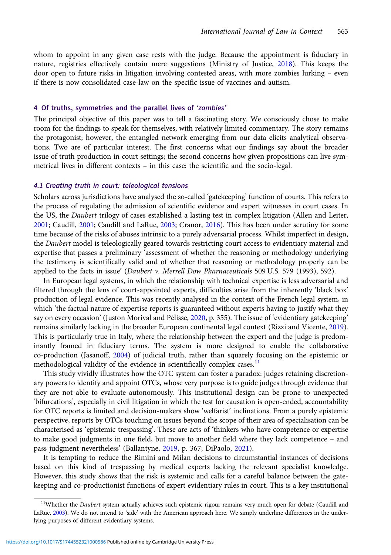whom to appoint in any given case rests with the judge. Because the appointment is fiduciary in nature, registries effectively contain mere suggestions (Ministry of Justice, [2018\)](#page-20-0). This keeps the door open to future risks in litigation involving contested areas, with more zombies lurking – even if there is now consolidated case-law on the specific issue of vaccines and autism.

## 4 Of truths, symmetries and the parallel lives of 'zombies'

The principal objective of this paper was to tell a fascinating story. We consciously chose to make room for the findings to speak for themselves, with relatively limited commentary. The story remains the protagonist; however, the entangled network emerging from our data elicits analytical observations. Two are of particular interest. The first concerns what our findings say about the broader issue of truth production in court settings; the second concerns how given propositions can live symmetrical lives in different contexts – in this case: the scientific and the socio-legal.

## 4.1 Creating truth in court: teleological tensions

Scholars across jurisdictions have analysed the so-called 'gatekeeping' function of courts. This refers to the process of regulating the admission of scientific evidence and expert witnesses in court cases. In the US, the Daubert trilogy of cases established a lasting test in complex litigation (Allen and Leiter, [2001](#page-17-0); Caudill, [2001](#page-17-0); Caudill and LaRue, [2003](#page-17-0); Cranor, [2016\)](#page-18-0). This has been under scrutiny for some time because of the risks of abuses intrinsic to a purely adversarial process. Whilst imperfect in design, the Daubert model is teleologically geared towards restricting court access to evidentiary material and expertise that passes a preliminary 'assessment of whether the reasoning or methodology underlying the testimony is scientifically valid and of whether that reasoning or methodology properly can be applied to the facts in issue' (Daubert v. Merrell Dow Pharnaceuticals 509 U.S. 579 (1993), 592).

In European legal systems, in which the relationship with technical expertise is less adversarial and filtered through the lens of court-appointed experts, difficulties arise from the inherently 'black box' production of legal evidence. This was recently analysed in the context of the French legal system, in which 'the factual nature of expertise reports is guaranteed without experts having to justify what they say on every occasion' (Juston Morival and Pélisse, [2020](#page-19-0), p. 355). The issue of 'evidentiary gatekeeping' remains similarly lacking in the broader European continental legal context (Rizzi and Vicente, [2019\)](#page-20-0). This is particularly true in Italy, where the relationship between the expert and the judge is predominantly framed in fiduciary terms. The system is more designed to enable the collaborative co-production (Jasanoff, [2004](#page-19-0)) of judicial truth, rather than squarely focusing on the epistemic or methodological validity of the evidence in scientifically complex cases. $<sup>11</sup>$ </sup>

This study vividly illustrates how the OTC system can foster a paradox: judges retaining discretionary powers to identify and appoint OTCs, whose very purpose is to guide judges through evidence that they are not able to evaluate autonomously. This institutional design can be prone to unexpected 'bifurcations', especially in civil litigation in which the test for causation is open-ended, accountability for OTC reports is limited and decision-makers show 'welfarist' inclinations. From a purely epistemic perspective, reports by OTCs touching on issues beyond the scope of their area of specialisation can be characterised as 'epistemic trespassing'. These are acts of 'thinkers who have competence or expertise to make good judgments in one field, but move to another field where they lack competence – and pass judgment nevertheless' (Ballantyne, [2019,](#page-17-0) p. 367; DiPaolo, [2021\)](#page-18-0).

It is tempting to reduce the Rimini and Milan decisions to circumstantial instances of decisions based on this kind of trespassing by medical experts lacking the relevant specialist knowledge. However, this study shows that the risk is systemic and calls for a careful balance between the gatekeeping and co-productionist functions of expert evidentiary rules in court. This is a key institutional

<sup>&</sup>lt;sup>11</sup>Whether the Daubert system actually achieves such epistemic rigour remains very much open for debate (Caudill and LaRue, [2003](#page-17-0)). We do not intend to 'side' with the American approach here. We simply underline differences in the underlying purposes of different evidentiary systems.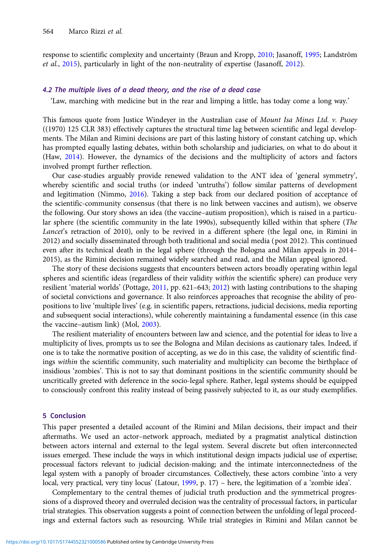response to scientific complexity and uncertainty (Braun and Kropp, [2010;](#page-17-0) Jasanoff, [1995](#page-19-0); Landström et al., [2015](#page-19-0)), particularly in light of the non-neutrality of expertise (Jasanoff, [2012\)](#page-19-0).

### 4.2 The multiple lives of a dead theory, and the rise of a dead case

'Law, marching with medicine but in the rear and limping a little, has today come a long way.'

This famous quote from Justice Windeyer in the Australian case of Mount Isa Mines Ltd. v. Pusey ((1970) 125 CLR 383) effectively captures the structural time lag between scientific and legal developments. The Milan and Rimini decisions are part of this lasting history of constant catching up, which has prompted equally lasting debates, within both scholarship and judiciaries, on what to do about it (Haw, [2014\)](#page-18-0). However, the dynamics of the decisions and the multiplicity of actors and factors involved prompt further reflection.

Our case-studies arguably provide renewed validation to the ANT idea of 'general symmetry', whereby scientific and social truths (or indeed 'untruths') follow similar patterns of development and legitimation (Nimmo, [2016\)](#page-20-0). Taking a step back from our declared position of acceptance of the scientific-community consensus (that there is no link between vaccines and autism), we observe the following. Our story shows an idea (the vaccine–autism proposition), which is raised in a particular sphere (the scientific community in the late 1990s), subsequently killed within that sphere (The Lancet's retraction of 2010), only to be revived in a different sphere (the legal one, in Rimini in 2012) and socially disseminated through both traditional and social media (post 2012). This continued even after its technical death in the legal sphere (through the Bologna and Milan appeals in 2014– 2015), as the Rimini decision remained widely searched and read, and the Milan appeal ignored.

The story of these decisions suggests that encounters between actors broadly operating within legal spheres and scientific ideas (regardless of their validity within the scientific sphere) can produce very resilient 'material worlds' (Pottage, [2011](#page-20-0), pp. 621–643; [2012](#page-20-0)) with lasting contributions to the shaping of societal convictions and governance. It also reinforces approaches that recognise the ability of propositions to live 'multiple lives' (e.g. in scientific papers, retractions, judicial decisions, media reporting and subsequent social interactions), while coherently maintaining a fundamental essence (in this case the vaccine–autism link) (Mol, [2003\)](#page-20-0).

The resilient materiality of encounters between law and science, and the potential for ideas to live a multiplicity of lives, prompts us to see the Bologna and Milan decisions as cautionary tales. Indeed, if one is to take the normative position of accepting, as we do in this case, the validity of scientific findings within the scientific community, such materiality and multiplicity can become the birthplace of insidious 'zombies'. This is not to say that dominant positions in the scientific community should be uncritically greeted with deference in the socio-legal sphere. Rather, legal systems should be equipped to consciously confront this reality instead of being passively subjected to it, as our study exemplifies.

## 5 Conclusion

This paper presented a detailed account of the Rimini and Milan decisions, their impact and their aftermaths. We used an actor–network approach, mediated by a pragmatist analytical distinction between actors internal and external to the legal system. Several discrete but often interconnected issues emerged. These include the ways in which institutional design impacts judicial use of expertise; processual factors relevant to judicial decision-making; and the intimate interconnectedness of the legal system with a panoply of broader circumstances. Collectively, these actors combine 'into a very local, very practical, very tiny locus' (Latour, [1999](#page-20-0), p. 17) – here, the legitimation of a 'zombie idea'.

Complementary to the central themes of judicial truth production and the symmetrical progressions of a disproved theory and overruled decision was the centrality of processual factors, in particular trial strategies. This observation suggests a point of connection between the unfolding of legal proceedings and external factors such as resourcing. While trial strategies in Rimini and Milan cannot be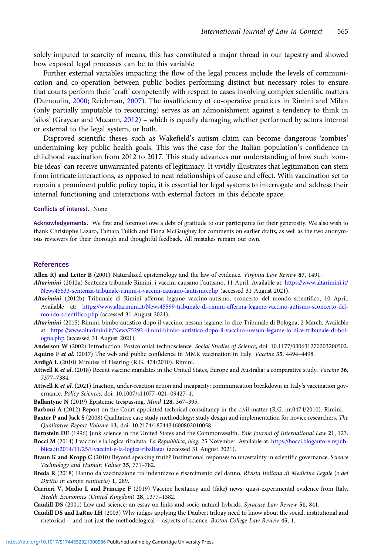<span id="page-17-0"></span>solely imputed to scarcity of means, this has constituted a major thread in our tapestry and showed how exposed legal processes can be to this variable.

Further external variables impacting the flow of the legal process include the levels of communication and co-operation between public bodies performing distinct but necessary roles to ensure that courts perform their 'craft' competently with respect to cases involving complex scientific matters (Dumoulin, [2000](#page-18-0); Reichman, [2007\)](#page-20-0). The insufficiency of co-operative practices in Rimini and Milan (only partially imputable to resourcing) serves as an admonishment against a tendency to think in 'silos' (Graycar and Mccann, [2012\)](#page-18-0) – which is equally damaging whether performed by actors internal or external to the legal system, or both.

Disproved scientific theses such as Wakefield's autism claim can become dangerous 'zombies' undermining key public health goals. This was the case for the Italian population's confidence in childhood vaccination from 2012 to 2017. This study advances our understanding of how such 'zombie ideas' can receive unwarranted patents of legitimacy. It vividly illustrates that legitimation can stem from intricate interactions, as opposed to neat relationships of cause and effect. With vaccination set to remain a prominent public policy topic, it is essential for legal systems to interrogate and address their internal functioning and interactions with external factors in this delicate space.

#### Conflicts of interest. None

Acknowledgements. We first and foremost owe a debt of gratitude to our participants for their generosity. We also wish to thank Christophe Lazaro, Tamara Tulich and Fiona McGaughey for comments on earlier drafts, as well as the two anonymous reviewers for their thorough and thoughtful feedback. All mistakes remain our own.

#### References

Allen RJ and Leiter B (2001) Naturalized epistemology and the law of evidence. Virginia Law Review 87, 1491.

- Altarimini (2012a) Sentenza tribunale Rimini, i vaccini causano l'autismo, 11 April. Available at: [https://www.altarimini.it/](https://www.altarimini.it/News45633-sentenza-tribunale-rimini-i-vaccini-causano-lautismo.php) [News45633-sentenza-tribunale-rimini-i-vaccini-causano-lautismo.php](https://www.altarimini.it/News45633-sentenza-tribunale-rimini-i-vaccini-causano-lautismo.php) (accessed 31 August 2021).
- Altarimini (2012b) Tribunale di Rimini afferma legame vaccino-autismo, sconcerto del mondo scientifico, 10 April. Available at: [https://www.altarimini.it/News45599-tribunale-di-rimini-afferma-legame-vaccino-autismo-sconcerto-del](https://www.altarimini.it/News45599-tribunale-di-rimini-afferma-legame-vaccino-autismo-sconcerto-del-mondo-scientifico.php)[mondo-scientifico.php](https://www.altarimini.it/News45599-tribunale-di-rimini-afferma-legame-vaccino-autismo-sconcerto-del-mondo-scientifico.php) (accessed 31 August 2021).
- Altarimini (2015) Rimini, bimbo autistico dopo il vaccino, nessun legame, lo dice Tribunale di Bologna, 2 March. Available at: [https://www.altarimini.it/News75292-rimini-bimbo-autistico-dopo-il-vaccino-nessun-legame-lo-dice-tribunale-di-bol](https://www.altarimini.it/News75292-rimini-bimbo-autistico-dopo-il-vaccino-nessun-legame-lo-dice-tribunale-di-bologna.php)[ogna.php](https://www.altarimini.it/News75292-rimini-bimbo-autistico-dopo-il-vaccino-nessun-legame-lo-dice-tribunale-di-bologna.php) (accessed 31 August 2021).
- Anderson W (2002) Introduction: Postcolonial technoscience. Social Studies of Science, doi: 10.1177/030631270203200502.

Aquino F et al. (2017) The web and public confidence in MMR vaccination in Italy. Vaccine 35, 4494-4498.

- Ardigò L (2010) Minutes of Hearing (R.G. 474/2010). Rimini.
- Attwell K et al. (2018) Recent vaccine mandates in the United States, Europe and Australia: a comparative study. Vaccine 36, 7377–7384.
- Attwell K et al. (2021) Inaction, under-reaction action and incapacity: communication breakdown in Italy's vaccination governance. Policy Sciences, doi: 10.1007/s11077–021–09427–1.
- Ballantyne N (2019) Epistemic trespassing. Mind 128, 367-395.
- Barboni A (2012) Report on the Court appointed technical consultancy in the civil matter (R.G. nr.0474/2010). Rimini.
- Baxter P and Jack S (2008) Qualitative case study methodology: study design and implementation for novice researchers. The Qualitative Report Volume 13, doi: 10.2174/1874434600802010058.
- Bernstein DE (1996) Junk science in the United States and the Commonwealth. Yale Journal of International Law 21, 123. Bocci M (2014) I vaccini e la logica ribaltata. La Repubblica, blog, 25 November. Available at: [https://bocci.blogautore.repub-](https://bocci.blogautore.repubblica.it/2014/11/25/i-vaccini-e-la-logica-ribaltata/)

[blica.it/2014/11/25/i-vaccini-e-la-logica-ribaltata/](https://bocci.blogautore.repubblica.it/2014/11/25/i-vaccini-e-la-logica-ribaltata/) (accessed 31 August 2021).

- Braun K and Kropp C (2010) Beyond speaking truth? Institutional responses to uncertainty in scientific governance. Science Technology and Human Values 35, 771–782.
- Breda R (2018) Danno da vaccinazione tra indennizzo e risarcimento del danno. Rivista Italiana di Medicina Legale (e del Diritto in campo sanitario) 1, 289.
- Carrieri V, Madio L and Principe F (2019) Vaccine hesitancy and (fake) news: quasi-experimental evidence from Italy. Health Economics (United Kingdom) 28, 1377–1382.

Caudill DS (2001) Law and science: an essay on links and socio-natural hybrids. Syracuse Law Review 51, 841.

Caudill DS and LaRue LH (2003) Why judges applying the Daubert trilogy need to know about the social, institutional and rhetorical – and not just the methodological – aspects of science. Boston College Law Review 45, 1.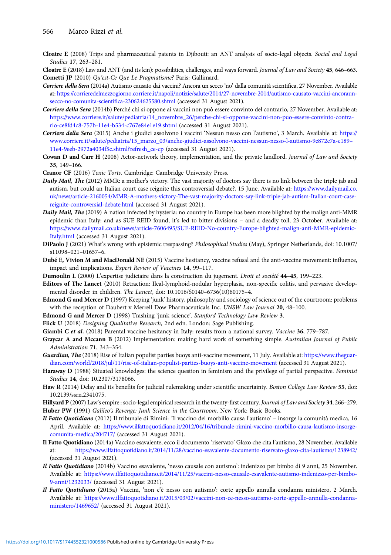- <span id="page-18-0"></span>Cloatre E (2008) Trips and pharmaceutical patents in Djibouti: an ANT analysis of socio-legal objects. Social and Legal Studies 17, 263–281.
- Cloatre E (2018) Law and ANT (and its kin): possibilities, challenges, and ways forward. Journal of Law and Society 45, 646–663. Cometti JP (2010) Qu'est-Ce Que Le Pragmatisme? Paris: Gallimard.
- Corriere della Sera (2014a) Autismo causato dai vaccini? Ancora un secco 'no' dalla comunità scientifica, 27 November. Available at: [https://corrieredelmezzogiorno.corriere.it/napoli/notizie/salute/2014/27-novembre-2014/autismo-causato-vaccini-ancoraun](https://corrieredelmezzogiorno.corriere.it/napoli/notizie/salute/2014/27-novembre-2014/autismo-causato-vaccini-ancoraun-secco-no-comunita-scientifica-230624625580.shtml)[secco-no-comunita-scientifica-230624625580.shtml](https://corrieredelmezzogiorno.corriere.it/napoli/notizie/salute/2014/27-novembre-2014/autismo-causato-vaccini-ancoraun-secco-no-comunita-scientifica-230624625580.shtml) (accessed 31 August 2021).
- Corriere della Sera (2014b) Perché chi si oppone ai vaccini non può essere convinto del contrario, 27 November. Available at: [https://www.corriere.it/salute/pediatria/14\\_novembre\\_26/perche-chi-si-oppone-vaccini-non-puo-essere-convinto-contra](https://www.corriere.it/salute/pediatria/14_novembre_26/perche-chi-si-oppone-vaccini-non-puo-essere-convinto-contrario-ce8fd4c8-757b-11e4-b534-c767e84e1e19.shtml)[rio-ce8fd4c8-757b-11e4-b534-c767e84e1e19.shtml](https://www.corriere.it/salute/pediatria/14_novembre_26/perche-chi-si-oppone-vaccini-non-puo-essere-convinto-contrario-ce8fd4c8-757b-11e4-b534-c767e84e1e19.shtml) (accessed 31 August 2021).
- Corriere della Sera (2015) Anche i giudici assolvono i vaccini 'Nessun nesso con l'autismo', 3 March. Available at: [https://](https://www.corriere.it/salute/pediatria/15_marzo_03/anche-giudici-assolvono-vaccini-nessun-nesso-l-autismo-9e872e7a-c189–11e4-9eeb-2972a4034f5c.shtml?refresh_ce-cp) [www.corriere.it/salute/pediatria/15\\_marzo\\_03/anche-giudici-assolvono-vaccini-nessun-nesso-l-autismo-9e872e7a-c189](https://www.corriere.it/salute/pediatria/15_marzo_03/anche-giudici-assolvono-vaccini-nessun-nesso-l-autismo-9e872e7a-c189–11e4-9eeb-2972a4034f5c.shtml?refresh_ce-cp)– [11e4-9eeb-2972a4034f5c.shtml?refresh\\_ce-cp](https://www.corriere.it/salute/pediatria/15_marzo_03/anche-giudici-assolvono-vaccini-nessun-nesso-l-autismo-9e872e7a-c189–11e4-9eeb-2972a4034f5c.shtml?refresh_ce-cp) (accessed 31 August 2021).
- Cowan D and Carr H (2008) Actor-network theory, implementation, and the private landlord. Journal of Law and Society 35, 149–166.
- Cranor CF (2016) Toxic Torts. Cambridge: Cambridge University Press.
- Daily Mail, The (2012) MMR: a mother's victory. The vast majority of doctors say there is no link between the triple jab and autism, but could an Italian court case reignite this controversial debate?, 15 June. Available at: [https://www.dailymail.co.](https://www.dailymail.co.uk/news/article-2160054/MMR-A-mothers-victory-The-vast-majority-doctors-say-link-triple-jab-autism-Italian-court-case-reignite-controversial-debate.html) [uk/news/article-2160054/MMR-A-mothers-victory-The-vast-majority-doctors-say-link-triple-jab-autism-Italian-court-case](https://www.dailymail.co.uk/news/article-2160054/MMR-A-mothers-victory-The-vast-majority-doctors-say-link-triple-jab-autism-Italian-court-case-reignite-controversial-debate.html)[reignite-controversial-debate.html](https://www.dailymail.co.uk/news/article-2160054/MMR-A-mothers-victory-The-vast-majority-doctors-say-link-triple-jab-autism-Italian-court-case-reignite-controversial-debate.html) (accessed 31 August 2021).
- Daily Mail, The (2019) A nation infected by hysteria: no country in Europe has been more blighted by the malign anti-MMR epidemic than Italy: and as SUE REID found, it's led to bitter divisions – and a deadly toll, 23 October. Available at: [https://www.dailymail.co.uk/news/article-7606495/SUE-REID-No-country-Europe-blighted-malign-anti-MMR-epidemic-](https://www.dailymail.co.uk/news/article-7606495/SUE-REID-No-country-Europe-blighted-malign-anti-MMR-epidemic-Italy.html)[Italy.html](https://www.dailymail.co.uk/news/article-7606495/SUE-REID-No-country-Europe-blighted-malign-anti-MMR-epidemic-Italy.html) (accessed 31 August 2021).
- DiPaolo J (2021) What's wrong with epistemic trespassing? Philosophical Studies (May), Springer Netherlands, doi: 10.1007/ s11098–021–01657–6.
- Dubé E, Vivion M and MacDonald NE (2015) Vaccine hesitancy, vaccine refusal and the anti-vaccine movement: influence, impact and implications. Expert Review of Vaccines 14, 99–117.
- Dumoulin L (2000) L'expertise judiciaire dans la construction du jugement. Droit et société 44–45, 199–223.
- Editors of The Lancet (2010) Retraction: Ileal-lymphoid-nodular hyperplasia, non-specific colitis, and pervasive developmental disorder in children. The Lancet, doi: 10.1016/S0140–6736(10)60175–4.
- Edmond G and Mercer D (1997) Keeping 'junk' history, philosophy and sociology of science out of the courtroom: problems with the reception of Daubert v Merrell Dow Pharmaceuticals Inc. UNSW Law Journal 20, 48-100.
- Edmond G and Mercer D (1998) Trashing 'junk science'. Stanford Technology Law Review 3.
- Flick U (2018) Designing Qualitative Research, 2nd edn. London: Sage Publishing.
- Giambi C et al. (2018) Parental vaccine hesitancy in Italy: results from a national survey. Vaccine 36, 779–787.
- Graycar A and Mccann B (2012) Implementation: making hard work of something simple. Australian Journal of Public Administration 71, 343–354.
- Guardian, The (2018) Rise of Italian populist parties buoys anti-vaccine movement, 11 July. Available at: [https://www.theguar](https://www.theguardian.com/world/2018/jul/11/rise-of-italian-populist-parties-buoys-anti-vaccine-movement)[dian.com/world/2018/jul/11/rise-of-italian-populist-parties-buoys-anti-vaccine-movement](https://www.theguardian.com/world/2018/jul/11/rise-of-italian-populist-parties-buoys-anti-vaccine-movement) (accessed 31 August 2021).
- Haraway D (1988) Situated knowledges: the science question in feminism and the privilege of partial perspective. Feminist Studies 14, doi: 10.2307/3178066.
- Haw R (2014) Delay and its benefits for judicial rulemaking under scientific uncertainty. Boston College Law Review 55, doi: 10.2139/ssrn.2341075.
- Hillyard P (2007) Law's empire : socio-legal empirical research in the twenty-first century. Journal of Law and Society 34, 266–279. Huber PW (1991) Galileo's Revenge: Junk Science in the Courtroom. New York: Basic Books.
- Il Fatto Quotidiano (2012) Il tribunale di Rimini: 'Il vaccino del morbillo causa l'autismo' insorge la comunità medica, 16 April. Available at: [https://www.ilfattoquotidiano.it/2012/04/16/tribunale-rimini-vaccino-morbillo-causa-lautismo-insorge](https://www.ilfattoquotidiano.it/2012/04/16/tribunale-rimini-vaccino-morbillo-causa-lautismo-insorge-comunita-medica/204717/)[comunita-medica/204717/](https://www.ilfattoquotidiano.it/2012/04/16/tribunale-rimini-vaccino-morbillo-causa-lautismo-insorge-comunita-medica/204717/) (accessed 31 August 2021).
- Il Fatto Quotidiano (2014a) Vaccino esavalente, ecco il documento 'riservato' Glaxo che cita l'autismo, 28 November. Available at: <https://www.ilfattoquotidiano.it/2014/11/28/vaccino-esavalente-documento-riservato-glaxo-cita-lautismo/1238942/> (accessed 31 August 2021).
- Il Fatto Quotidiano (2014b) Vaccino esavalente, 'nesso causale con autismo': indenizzo per bimbo di 9 anni, 25 November. Available at: [https://www.ilfattoquotidiano.it/2014/11/25/vaccini-nesso-causale-esavalente-autismo-indenizzo-per-bimbo-](https://www.ilfattoquotidiano.it/2014/11/25/vaccini-nesso-causale-esavalente-autismo-indenizzo-per-bimbo-9-anni/1232033/)[9-anni/1232033/](https://www.ilfattoquotidiano.it/2014/11/25/vaccini-nesso-causale-esavalente-autismo-indenizzo-per-bimbo-9-anni/1232033/) (accessed 31 August 2021).
- Il Fatto Quotidiano (2015a) Vaccini, 'non c'è nesso con autismo': corte appello annulla condanna ministero, 2 March. Available at: [https://www.ilfattoquotidiano.it/2015/03/02/vaccini-non-ce-nesso-autismo-corte-appello-annulla-condanna](https://www.ilfattoquotidiano.it/2015/03/02/vaccini-non-ce-nesso-autismo-corte-appello-annulla-condanna-ministero/1469652/)[ministero/1469652/](https://www.ilfattoquotidiano.it/2015/03/02/vaccini-non-ce-nesso-autismo-corte-appello-annulla-condanna-ministero/1469652/) (accessed 31 August 2021).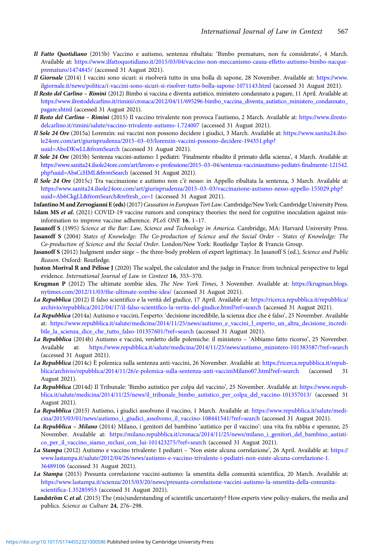- <span id="page-19-0"></span>Il Fatto Quotidiano (2015b) Vaccino e autismo, sentenza ribaltata: 'Bimbo prematuro, non fu considerato', 4 March. Available at: [https://www.ilfattoquotidiano.it/2015/03/04/vaccino-non-meccanismo-causa-effetto-autismo-bimbo-nacque](https://www.ilfattoquotidiano.it/2015/03/04/vaccino-non-meccanismo-causa-effetto-autismo-bimbo-nacque-prematuro/1474845/)[prematuro/1474845/](https://www.ilfattoquotidiano.it/2015/03/04/vaccino-non-meccanismo-causa-effetto-autismo-bimbo-nacque-prematuro/1474845/) (accessed 31 August 2021).
- Il Giornale (2014) I vaccini sono sicuri: si risolverà tutto in una bolla di sapone, 28 November. Available at: [https://www.](https://www.ilgiornale.it/news/politica/i-vaccini-sono-sicuri-si-risolver-tutto-bolla-sapone-1071143.html) [ilgiornale.it/news/politica/i-vaccini-sono-sicuri-si-risolver-tutto-bolla-sapone-1071143.html](https://www.ilgiornale.it/news/politica/i-vaccini-sono-sicuri-si-risolver-tutto-bolla-sapone-1071143.html) (accessed 31 August 2021).
- Il Resto del Carlino Rimini (2012) Bimbo si vaccina e diventa autistico, ministero condannato a pagare, 11 April. Available at: [https://www.ilrestodelcarlino.it/rimini/cronaca/2012/04/11/695296-bimbo\\_vaccina\\_diventa\\_autistico\\_ministero\\_condannato\\_](https://www.ilrestodelcarlino.it/rimini/cronaca/2012/04/11/695296-bimbo_vaccina_diventa_autistico_ministero_condannato_pagare.shtml) [pagare.shtml](https://www.ilrestodelcarlino.it/rimini/cronaca/2012/04/11/695296-bimbo_vaccina_diventa_autistico_ministero_condannato_pagare.shtml) (accessed 31 August 2021).
- Il Resto del Carlino Rimini (2015) Il vaccino trivalente non provoca l'autismo, 2 March. Available at: [https://www.ilresto](https://www.ilrestodelcarlino.it/rimini/salute/vaccino-trivalente-autismo-1.724007)[delcarlino.it/rimini/salute/vaccino-trivalente-autismo-1.724007](https://www.ilrestodelcarlino.it/rimini/salute/vaccino-trivalente-autismo-1.724007) (accessed 31 August 2021).
- Il Sole 24 Ore (2015a) Lorenzin: sui vaccini non possono decidere i giudici, 3 March. Available at: [https://www.sanita24.ilso](https://www.sanita24.ilsole24ore.com/art/giurisprudenza/2015–03–03/lorenzin-vaccini-possono-decidere-194351.php?uuid=AboDKwLL&fromSearch)le24ore.com/art/giurisprudenza/2015–03–[03/lorenzin-vaccini-possono-decidere-194351.php?](https://www.sanita24.ilsole24ore.com/art/giurisprudenza/2015–03–03/lorenzin-vaccini-possono-decidere-194351.php?uuid=AboDKwLL&fromSearch) [uuid=AboDKwLL&fromSearch](https://www.sanita24.ilsole24ore.com/art/giurisprudenza/2015–03–03/lorenzin-vaccini-possono-decidere-194351.php?uuid=AboDKwLL&fromSearch) (accessed 31 August 2021).
- Il Sole 24 Ore (2015b) Sentenza vaccini-autismo: I pediatri: 'Finalmente ribadito il primato della scienza', 4 March. Available at: [https://www.sanita24.ilsole24ore.com/art/lavoro-e-professione/2015](https://www.sanita24.ilsole24ore.com/art/lavoro-e-professione/2015–03–04/sentenza-vacciniautismo-pediatri-finalmente-121542.php?uuid=AbsCcHML&fromSearch)–03–04/sentenza-vacciniautismo-pediatri-finalmente-121542. [php?uuid=AbsCcHML&fromSearch](https://www.sanita24.ilsole24ore.com/art/lavoro-e-professione/2015–03–04/sentenza-vacciniautismo-pediatri-finalmente-121542.php?uuid=AbsCcHML&fromSearch) (accessed 31 August 2021).
- Il Sole 24 Ore (2015c) Tra vaccinazione e autismo non c'è nesso: in Appello ribaltata la sentenza, 3 March. Available at: [https://www.sanita24.ilsole24ore.com/art/giurisprudenza/2015](https://www.sanita24.ilsole24ore.com/art/giurisprudenza/2015–03–03/vaccinazione-autismo-nesso-appello-155029.php?uuid=Ab6CkgLL&fromSearch&refresh_ce=1)–03–03/vaccinazione-autismo-nesso-appello-155029.php? [uuid=Ab6CkgLL&fromSearch&refresh\\_ce=1](https://www.sanita24.ilsole24ore.com/art/giurisprudenza/2015–03–03/vaccinazione-autismo-nesso-appello-155029.php?uuid=Ab6CkgLL&fromSearch&refresh_ce=1) (accessed 31 August 2021).
- Infantino M and Zervogianni E (eds) (2017) Causation in European Tort Law. Cambridge/New York: Cambridge University Press. Islam MS et al. (2021) COVID-19 vaccine rumors and conspiracy theories: the need for cognitive inoculation against misinformation to improve vaccine adherence. PLoS ONE 16, 1–17.
- Jasanoff S (1995) Science at the Bar: Law, Science and Technology in America. Cambridge, MA: Harvard University Press. Jasanoff S (2004) States of Knowledge: The Co-production of Science and the Social Order – States of Knowledge: The Co-production of Science and the Social Order. London/New York: Routledge Taylor & Francis Group.
- Jasanoff S (2012) Judgment under siege the three-body problem of expert legitimacy. In Jasanoff S (ed.), Science and Public Reason. Oxford: Routledge.
- Juston Morival R and Pélisse J (2020) The scalpel, the calculator and the judge in France: from technical perspective to legal evidence. International Journal of Law in Context 16, 353–370.
- Krugman P (2012) The ultimate zombie idea, The New York Times, 3 November. Available at: [https://krugman.blogs.](https://krugman.blogs.nytimes.com/2012/11/03/the-ultimate-zombie-idea/) [nytimes.com/2012/11/03/the-ultimate-zombie-idea/](https://krugman.blogs.nytimes.com/2012/11/03/the-ultimate-zombie-idea/) (accessed 31 August 2021).
- La Repubblica (2012) Il falso scientifico e la verità del giudice, 17 April. Available at: [https://ricerca.repubblica.it/repubblica/](https://ricerca.repubblica.it/repubblica/archivio/repubblica/2012/04/17/il-falso-scientifico-la-verita-del-giudice.html?ref=search) [archivio/repubblica/2012/04/17/il-falso-scientifico-la-verita-del-giudice.html?ref=search](https://ricerca.repubblica.it/repubblica/archivio/repubblica/2012/04/17/il-falso-scientifico-la-verita-del-giudice.html?ref=search) (accessed 31 August 2021).
- La Repubblica (2014a) Autismo e vaccini, l'esperto: 'decisione incredibile, la scienza dice che è falso', 25 November. Available at: [https://www.repubblica.it/salute/medicina/2014/11/25/news/autismo\\_e\\_vaccini\\_l\\_esperto\\_un\\_altra\\_decisione\\_incredi](https://www.repubblica.it/salute/medicina/2014/11/25/news/autismo_e_vaccini_l_esperto_un_altra_decisione_incredibile_la_scienza_dice_che_tutto_falso-101357601/?ref=search)[bile\\_la\\_scienza\\_dice\\_che\\_tutto\\_falso-101357601/?ref=search](https://www.repubblica.it/salute/medicina/2014/11/25/news/autismo_e_vaccini_l_esperto_un_altra_decisione_incredibile_la_scienza_dice_che_tutto_falso-101357601/?ref=search) (accessed 31 August 2021).
- La Repubblica (2014b) Autismo e vaccini, verdetto delle polemiche: il ministero 'Abbiamo fatto ricorso', 25 November. Available at: [https://www.repubblica.it/salute/medicina/2014/11/25/news/autismo\\_ministero-101383587/?ref=search](https://www.repubblica.it/salute/medicina/2014/11/25/news/autismo_ministero-101383587/?ref=search) (accessed 31 August 2021).
- La Repubblica (2014c) È polemica sulla sentenza anti-vaccini, 26 November. Available at: [https://ricerca.repubblica.it/repub](https://ricerca.repubblica.it/repubblica/archivio/repubblica/2014/11/26/e-polemica-sulla-sentenza-anti-vacciniMilano07.html?ref=search)[blica/archivio/repubblica/2014/11/26/e-polemica-sulla-sentenza-anti-vacciniMilano07.html?ref=search](https://ricerca.repubblica.it/repubblica/archivio/repubblica/2014/11/26/e-polemica-sulla-sentenza-anti-vacciniMilano07.html?ref=search) (accessed 31 August 2021).
- La Repubblica (2014d) Il Tribunale: 'Bimbo autistico per colpa del vaccino', 25 November. Available at: [https://www.repub](https://www.repubblica.it/salute/medicina/2014/11/25/news/il_tribunale_bimbo_autistico_per_colpa_del_vaccino-101357013/)[blica.it/salute/medicina/2014/11/25/news/il\\_tribunale\\_bimbo\\_autistico\\_per\\_colpa\\_del\\_vaccino-101357013/](https://www.repubblica.it/salute/medicina/2014/11/25/news/il_tribunale_bimbo_autistico_per_colpa_del_vaccino-101357013/) (accessed 31 August 2021).
- La Repubblica (2015) Autismo, i giudici assolvono il vaccino, 1 March. Available at: [https://www.repubblica.it/salute/medi](https://www.repubblica.it/salute/medicina/2015/03/01/news/autismo_i_giudici_assolvono_il_vaccino-108441541/?ref=search)[cina/2015/03/01/news/autismo\\_i\\_giudici\\_assolvono\\_il\\_vaccino-108441541/?ref=search](https://www.repubblica.it/salute/medicina/2015/03/01/news/autismo_i_giudici_assolvono_il_vaccino-108441541/?ref=search) (accessed 31 August 2021).
- La Repubblica Milano (2014) Milano, i genitori del bambino 'autistico per il vaccino': una vita fra rabbia e speranze, 25 November. Available at: [https://milano.repubblica.it/cronaca/2014/11/25/news/milano\\_i\\_genitori\\_del\\_bambino\\_autisti](https://milano.repubblica.it/cronaca/2014/11/25/news/milano_i_genitori_del_bambino_autistico_per_il_vaccino_siamo_reclusi_con_lui-101423275/?ref=search)[co\\_per\\_il\\_vaccino\\_siamo\\_reclusi\\_con\\_lui-101423275/?ref=search](https://milano.repubblica.it/cronaca/2014/11/25/news/milano_i_genitori_del_bambino_autistico_per_il_vaccino_siamo_reclusi_con_lui-101423275/?ref=search) (accessed 31 August 2021).
- La Stampa (2012) Autismo e vaccino trivalente: I pediatri 'Non esiste alcuna correlazione', 26 April. Available at: [https://](https://www.lastampa.it/salute/2012/04/26/news/autismo-e-vaccino-trivalente-i-pediatri-non-esiste-alcuna-correlazione-1.36489106) [www.lastampa.it/salute/2012/04/26/news/autismo-e-vaccino-trivalente-i-pediatri-non-esiste-alcuna-correlazione-1.](https://www.lastampa.it/salute/2012/04/26/news/autismo-e-vaccino-trivalente-i-pediatri-non-esiste-alcuna-correlazione-1.36489106) [36489106](https://www.lastampa.it/salute/2012/04/26/news/autismo-e-vaccino-trivalente-i-pediatri-non-esiste-alcuna-correlazione-1.36489106) (accessed 31 August 2021).
- La Stampa (2015) Presunta correlazione vaccini-autismo: la smentita della comunità scientifica, 20 March. Available at: [https://www.lastampa.it/scienza/2015/03/20/news/presunta-correlazione-vaccini-autismo-la-smentita-della-comunita](https://www.lastampa.it/scienza/2015/03/20/news/presunta-correlazione-vaccini-autismo-la-smentita-della-comunita-scientifica-1.35285953)[scientifica-1.35285953](https://www.lastampa.it/scienza/2015/03/20/news/presunta-correlazione-vaccini-autismo-la-smentita-della-comunita-scientifica-1.35285953) (accessed 31 August 2021).
- Landström C et al. (2015) The (mis)understanding of scientific uncertainty? How experts view policy-makers, the media and publics. Science as Culture 24, 276–298.